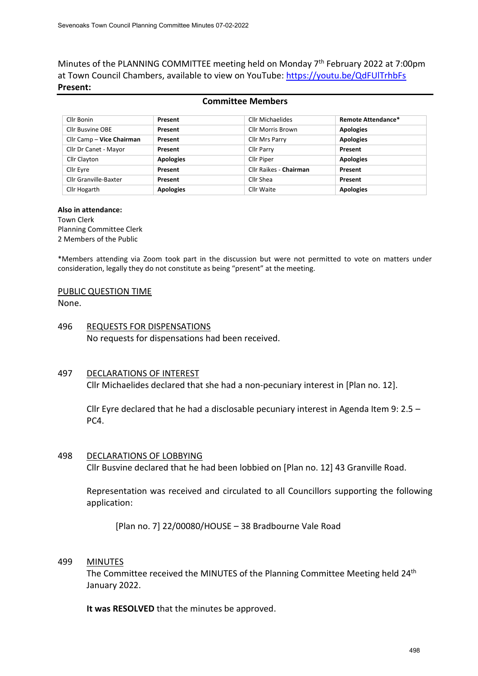Minutes of the PLANNING COMMITTEE meeting held on Monday 7<sup>th</sup> February 2022 at 7:00pm at Town Council Chambers, available to view on YouTube: <https://youtu.be/QdFUlTrhbFs> **Present:**

### **Committee Members**

| Cllr Bonin                | Present          | Cllr Michaelides       | <b>Remote Attendance*</b> |
|---------------------------|------------------|------------------------|---------------------------|
| Cllr Busvine OBE          | Present          | Cllr Morris Brown      | <b>Apologies</b>          |
| Cllr Camp - Vice Chairman | Present          | Cllr Mrs Parry         | <b>Apologies</b>          |
| Cllr Dr Canet - Mayor     | Present          | <b>Cllr Parry</b>      | Present                   |
| Cllr Clayton              | <b>Apologies</b> | <b>Cllr Piper</b>      | <b>Apologies</b>          |
| Cllr Eyre                 | Present          | Cllr Raikes - Chairman | Present                   |
| Cllr Granville-Baxter     | Present          | Cllr Shea              | Present                   |
| Cllr Hogarth              | <b>Apologies</b> | Cllr Waite             | <b>Apologies</b>          |

### **Also in attendance:**

Town Clerk Planning Committee Clerk 2 Members of the Public

\*Members attending via Zoom took part in the discussion but were not permitted to vote on matters under consideration, legally they do not constitute as being "present" at the meeting.

### PUBLIC QUESTION TIME

None.

496 REQUESTS FOR DISPENSATIONS No requests for dispensations had been received.

### 497 DECLARATIONS OF INTEREST

Cllr Michaelides declared that she had a non-pecuniary interest in [Plan no. 12].

Cllr Eyre declared that he had a disclosable pecuniary interest in Agenda Item 9:  $2.5 -$ PC<sub>4</sub>.

### 498 DECLARATIONS OF LOBBYING

Cllr Busvine declared that he had been lobbied on [Plan no. 12] 43 Granville Road.

Representation was received and circulated to all Councillors supporting the following application:

[Plan no. 7] 22/00080/HOUSE – 38 Bradbourne Vale Road

### 499 MINUTES

The Committee received the MINUTES of the Planning Committee Meeting held 24<sup>th</sup> January 2022.

**It was RESOLVED** that the minutes be approved.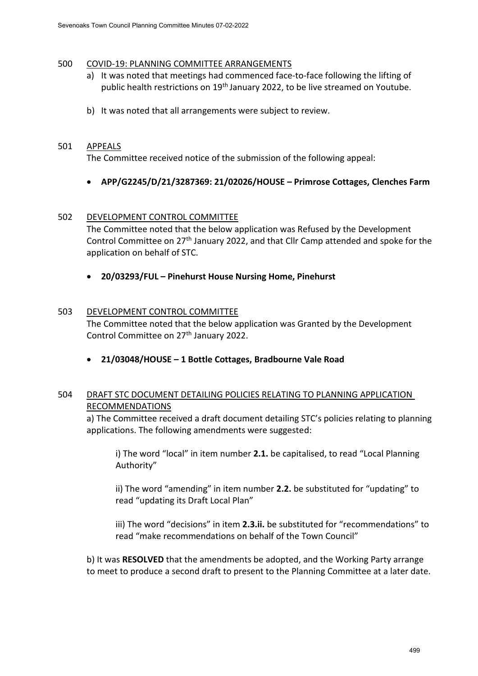## 500 COVID-19: PLANNING COMMITTEE ARRANGEMENTS

- a) It was noted that meetings had commenced face-to-face following the lifting of public health restrictions on 19<sup>th</sup> January 2022, to be live streamed on Youtube.
- b) It was noted that all arrangements were subject to review.

## 501 APPEALS

The Committee received notice of the submission of the following appeal:

• **APP/G2245/D/21/3287369: 21/02026/HOUSE – Primrose Cottages, Clenches Farm**

## 502 DEVELOPMENT CONTROL COMMITTEE

The Committee noted that the below application was Refused by the Development Control Committee on 27th January 2022, and that Cllr Camp attended and spoke for the application on behalf of STC.

• **20/03293/FUL – Pinehurst House Nursing Home, Pinehurst**

## 503 DEVELOPMENT CONTROL COMMITTEE

The Committee noted that the below application was Granted by the Development Control Committee on 27<sup>th</sup> January 2022.

• **21/03048/HOUSE – 1 Bottle Cottages, Bradbourne Vale Road**

# 504 DRAFT STC DOCUMENT DETAILING POLICIES RELATING TO PLANNING APPLICATION RECOMMENDATIONS

a) The Committee received a draft document detailing STC's policies relating to planning applications. The following amendments were suggested:

i) The word "local" in item number **2.1.** be capitalised, to read "Local Planning Authority"

ii) The word "amending" in item number **2.2.** be substituted for "updating" to read "updating its Draft Local Plan"

iii) The word "decisions" in item **2.3.ii.** be substituted for "recommendations" to read "make recommendations on behalf of the Town Council"

b) It was **RESOLVED** that the amendments be adopted, and the Working Party arrange to meet to produce a second draft to present to the Planning Committee at a later date.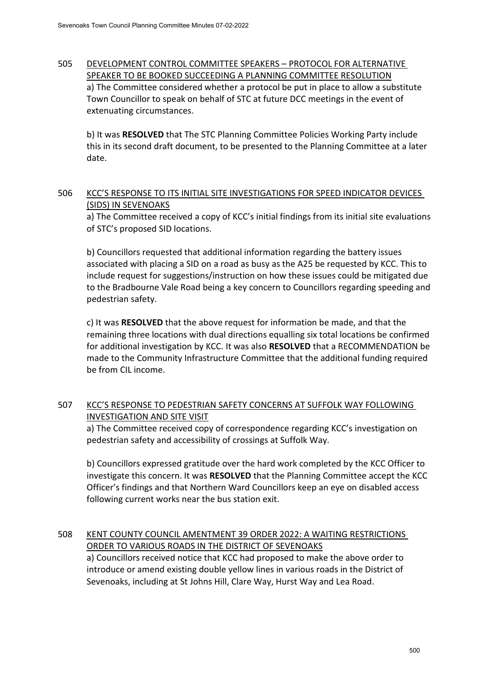505 DEVELOPMENT CONTROL COMMITTEE SPEAKERS – PROTOCOL FOR ALTERNATIVE SPEAKER TO BE BOOKED SUCCEEDING A PLANNING COMMITTEE RESOLUTION a) The Committee considered whether a protocol be put in place to allow a substitute Town Councillor to speak on behalf of STC at future DCC meetings in the event of extenuating circumstances.

b) It was **RESOLVED** that The STC Planning Committee Policies Working Party include this in its second draft document, to be presented to the Planning Committee at a later date.

506 KCC'S RESPONSE TO ITS INITIAL SITE INVESTIGATIONS FOR SPEED INDICATOR DEVICES (SIDS) IN SEVENOAKS

a) The Committee received a copy of KCC's initial findings from its initial site evaluations of STC's proposed SID locations.

b) Councillors requested that additional information regarding the battery issues associated with placing a SID on a road as busy as the A25 be requested by KCC. This to include request for suggestions/instruction on how these issues could be mitigated due to the Bradbourne Vale Road being a key concern to Councillors regarding speeding and pedestrian safety.

c) It was **RESOLVED** that the above request for information be made, and that the remaining three locations with dual directions equalling six total locations be confirmed for additional investigation by KCC. It was also **RESOLVED** that a RECOMMENDATION be made to the Community Infrastructure Committee that the additional funding required be from CIL income.

# 507 KCC'S RESPONSE TO PEDESTRIAN SAFETY CONCERNS AT SUFFOLK WAY FOLLOWING INVESTIGATION AND SITE VISIT

a) The Committee received copy of correspondence regarding KCC's investigation on pedestrian safety and accessibility of crossings at Suffolk Way.

b) Councillors expressed gratitude over the hard work completed by the KCC Officer to investigate this concern. It was **RESOLVED** that the Planning Committee accept the KCC Officer's findings and that Northern Ward Councillors keep an eye on disabled access following current works near the bus station exit.

# 508 KENT COUNTY COUNCIL AMENTMENT 39 ORDER 2022: A WAITING RESTRICTIONS ORDER TO VARIOUS ROADS IN THE DISTRICT OF SEVENOAKS

a) Councillors received notice that KCC had proposed to make the above order to introduce or amend existing double yellow lines in various roads in the District of Sevenoaks, including at St Johns Hill, Clare Way, Hurst Way and Lea Road.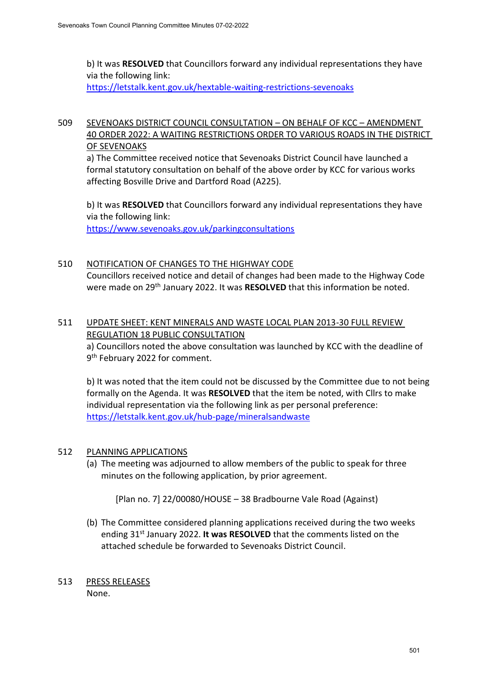b) It was **RESOLVED** that Councillors forward any individual representations they have via the following link: <https://letstalk.kent.gov.uk/hextable-waiting-restrictions-sevenoaks>

# 509 SEVENOAKS DISTRICT COUNCIL CONSULTATION – ON BEHALF OF KCC – AMENDMENT 40 ORDER 2022: A WAITING RESTRICTIONS ORDER TO VARIOUS ROADS IN THE DISTRICT OF SEVENOAKS

a) The Committee received notice that Sevenoaks District Council have launched a formal statutory consultation on behalf of the above order by KCC for various works affecting Bosville Drive and Dartford Road (A225).

b) It was **RESOLVED** that Councillors forward any individual representations they have via the following link: <https://www.sevenoaks.gov.uk/parkingconsultations>

# 510 NOTIFICATION OF CHANGES TO THE HIGHWAY CODE Councillors received notice and detail of changes had been made to the Highway Code were made on 29th January 2022. It was **RESOLVED** that this information be noted.

# 511 UPDATE SHEET: KENT MINERALS AND WASTE LOCAL PLAN 2013-30 FULL REVIEW REGULATION 18 PUBLIC CONSULTATION

a) Councillors noted the above consultation was launched by KCC with the deadline of 9<sup>th</sup> February 2022 for comment.

b) It was noted that the item could not be discussed by the Committee due to not being formally on the Agenda. It was **RESOLVED** that the item be noted, with Cllrs to make individual representation via the following link as per personal preference: <https://letstalk.kent.gov.uk/hub-page/mineralsandwaste>

# 512 PLANNING APPLICATIONS

(a) The meeting was adjourned to allow members of the public to speak for three minutes on the following application, by prior agreement.

[Plan no. 7] 22/00080/HOUSE – 38 Bradbourne Vale Road (Against)

- (b) The Committee considered planning applications received during the two weeks ending 31<sup>st</sup> January 2022. **It was RESOLVED** that the comments listed on the attached schedule be forwarded to Sevenoaks District Council.
- 513 PRESS RELEASES None.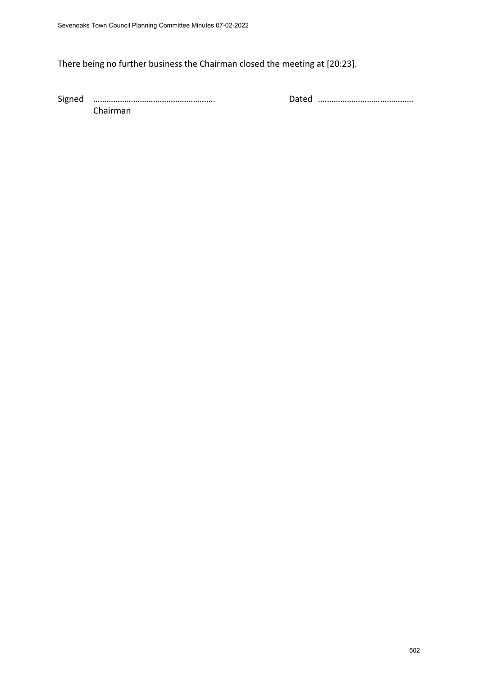There being no further business the Chairman closed the meeting at [20:23].

Signed ………………………………………………. Dated .…………………………………… Chairman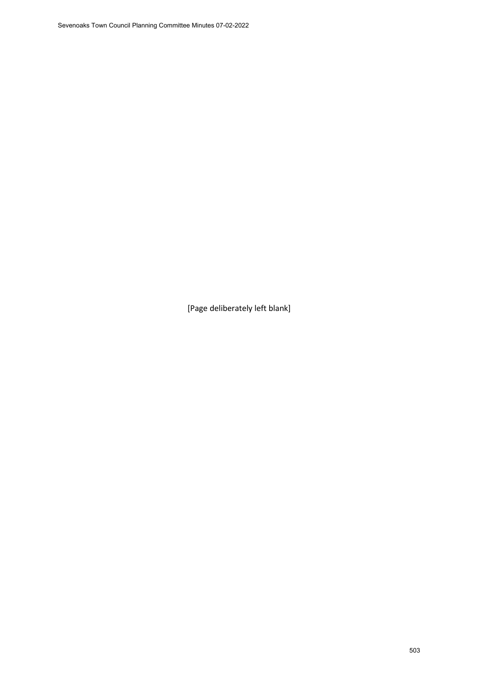[Page deliberately left blank]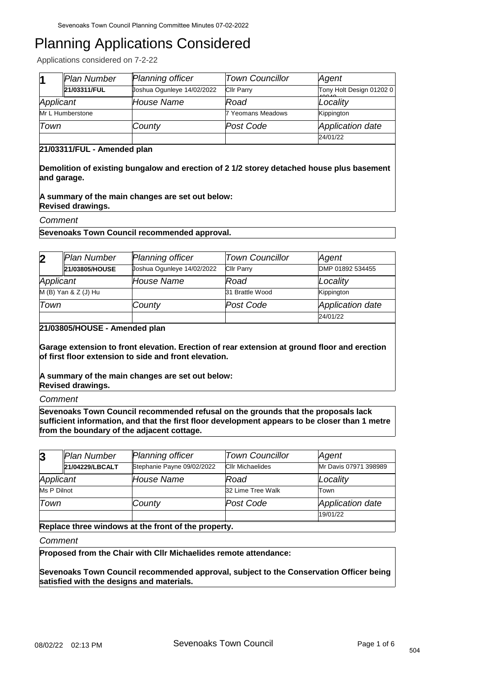Applications considered on 7-2-22

|           | Plan Number      | Planning officer           | <b>Town Councillor</b> | Agent                             |
|-----------|------------------|----------------------------|------------------------|-----------------------------------|
|           | 21/03311/FUL     | Joshua Ogunleye 14/02/2022 | <b>Cllr Parry</b>      | Tony Holt Design 01202 0<br>10010 |
| Applicant |                  | House Name                 | Road                   | Locality                          |
|           | Mr L Humberstone |                            | 7 Yeomans Meadows      | Kippington                        |
| Town      |                  | County                     | Post Code              | Application date                  |
|           |                  |                            |                        | 24/01/22                          |

### **21/03311/FUL - Amended plan**

**Demolition of existing bungalow and erection of 2 1/2 storey detached house plus basement and garage.**

**A summary of the main changes are set out below: Revised drawings.**

### *Comment*

**Sevenoaks Town Council recommended approval.**

| $\overline{\mathbf{2}}$ | Plan Number            | <b>Planning officer</b>    | <b>Town Councillor</b> | Agent            |
|-------------------------|------------------------|----------------------------|------------------------|------------------|
|                         | 21/03805/HOUSE         | Joshua Ogunleye 14/02/2022 | <b>Cllr Parry</b>      | DMP 01892 534455 |
| Applicant               |                        | House Name                 | Road                   | Locality         |
|                         | $M$ (B) Yan & Z (J) Hu |                            | 31 Brattle Wood        | Kippington       |
| Town                    |                        | County                     | Post Code              | Application date |
|                         |                        |                            |                        | 24/01/22         |

### **21/03805/HOUSE - Amended plan**

**Garage extension to front elevation. Erection of rear extension at ground floor and erection of first floor extension to side and front elevation.**

### **A summary of the main changes are set out below: Revised drawings.**

*Comment*

**Sevenoaks Town Council recommended refusal on the grounds that the proposals lack sufficient information, and that the first floor development appears to be closer than 1 metre from the boundary of the adjacent cottage.**

| $\overline{3}$                                      | Plan Number     | <b>Planning officer</b>    | <b>Town Councillor</b>  | Agent                   |  |
|-----------------------------------------------------|-----------------|----------------------------|-------------------------|-------------------------|--|
|                                                     | 21/04229/LBCALT | Stephanie Payne 09/02/2022 | <b>CIIr Michaelides</b> | Mr Davis 07971 398989   |  |
| Applicant                                           |                 | House Name                 | Road                    | Locality                |  |
| Ms P Dilnot                                         |                 |                            | 32 Lime Tree Walk       | Town                    |  |
| Town                                                |                 | County                     | Post Code               | <b>Application date</b> |  |
|                                                     |                 |                            |                         | 19/01/22                |  |
| Replace three windows at the front of the property. |                 |                            |                         |                         |  |

### *Comment*

**Proposed from the Chair with Cllr Michaelides remote attendance:** 

**Sevenoaks Town Council recommended approval, subject to the Conservation Officer being satisfied with the designs and materials.**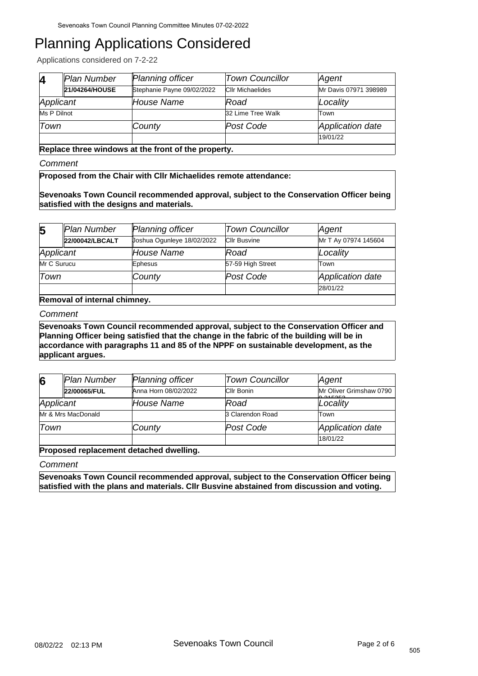Applications considered on 7-2-22

| $\overline{4}$ | Plan Number    | <b>Planning officer</b>                                   | <b>Town Councillor</b>  | Agent                 |
|----------------|----------------|-----------------------------------------------------------|-------------------------|-----------------------|
|                | 21/04264/HOUSE | Stephanie Payne 09/02/2022                                | <b>CIIr Michaelides</b> | Mr Davis 07971 398989 |
| Applicant      |                | House Name                                                | Road                    | Locality              |
| Ms P Dilnot    |                |                                                           | 32 Lime Tree Walk       | Town                  |
| Town           |                | County                                                    | Post Code               | Application date      |
|                |                |                                                           |                         | 19/01/22              |
|                |                | <b>Penlace three windows at the front of the property</b> |                         |                       |

**Replace three windows at the front of the property.**

### *Comment*

**Proposed from the Chair with Cllr Michaelides remote attendance:** 

**Sevenoaks Town Council recommended approval, subject to the Conservation Officer being satisfied with the designs and materials.**

| Plan Number     | <b>Planning officer</b>    | <b>Town Councillor</b> | Agent                |
|-----------------|----------------------------|------------------------|----------------------|
| 22/00042/LBCALT | Joshua Ogunleye 18/02/2022 | <b>CIIr Busvine</b>    | Mr T Ay 07974 145604 |
| Applicant       | House Name                 | Road                   | Locality             |
| Mr C Surucu     | <b>Ephesus</b>             | 57-59 High Street      | Town                 |
|                 | County                     | Post Code              | Application date     |
|                 |                            |                        | 28/01/22             |
|                 |                            |                        |                      |

## **Removal of internal chimney.**

### *Comment*

**Sevenoaks Town Council recommended approval, subject to the Conservation Officer and Planning Officer being satisfied that the change in the fabric of the building will be in accordance with paragraphs 11 and 85 of the NPPF on sustainable development, as the applicant argues.**

| 6                                       | Plan Number        | <b>Planning officer</b> | <b>Town Councillor</b> | Agent                              |
|-----------------------------------------|--------------------|-------------------------|------------------------|------------------------------------|
|                                         | 22/00065/FUL       | Anna Horn 08/02/2022    | <b>Cllr Bonin</b>      | Mr Oliver Grimshaw 0790<br>0.01505 |
| Applicant                               |                    | <b>House Name</b>       | Road                   | Locality                           |
|                                         | Mr & Mrs MacDonald |                         | 3 Clarendon Road       | Town                               |
| Town                                    |                    | County                  | Post Code              | <b>Application date</b>            |
|                                         |                    |                         |                        | 18/01/22                           |
| Proposed replacement detached dwelling. |                    |                         |                        |                                    |

*Comment*

**Sevenoaks Town Council recommended approval, subject to the Conservation Officer being satisfied with the plans and materials. Cllr Busvine abstained from discussion and voting.**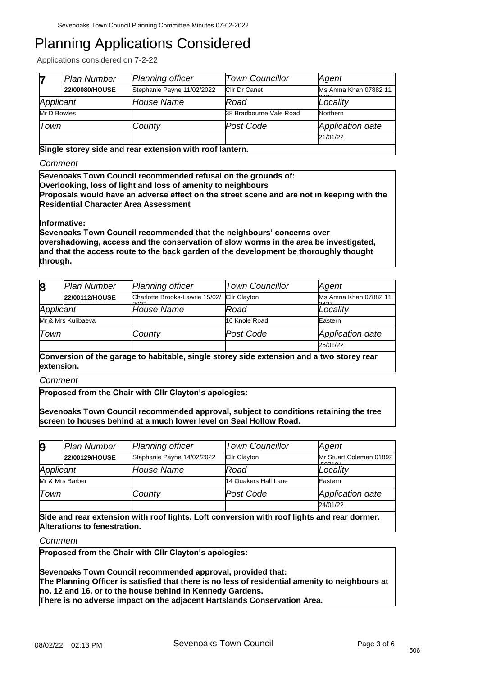Applications considered on 7-2-22

|             | Plan Number    | <b>Planning officer</b>                                 | <b>Town Councillor</b>  | Agent                          |
|-------------|----------------|---------------------------------------------------------|-------------------------|--------------------------------|
|             | 22/00080/HOUSE | Stephanie Payne 11/02/2022                              | <b>Cllr Dr Canet</b>    | Ms Amna Khan 07882 11<br>0.107 |
| Applicant   |                | House Name                                              | Road                    | Locality                       |
| Mr D Bowles |                |                                                         | 38 Bradbourne Vale Road | Northern                       |
| Town        |                | County                                                  | Post Code               | Application date               |
|             |                |                                                         |                         | 21/01/22                       |
|             |                | Cinela atavou aide and vear evtensian with reaf lentern |                         |                                |

**Single storey side and rear extension with roof lantern.**

*Comment*

**Sevenoaks Town Council recommended refusal on the grounds of: Overlooking, loss of light and loss of amenity to neighbours Proposals would have an adverse effect on the street scene and are not in keeping with the Residential Character Area Assessment**

**Informative:** 

**Sevenoaks Town Council recommended that the neighbours' concerns over overshadowing, access and the conservation of slow worms in the area be investigated, and that the access route to the back garden of the development be thoroughly thought through.**

| $\bf{8}$                                                                                  | Plan Number        | Planning officer                       | <b>Town Councillor</b> | Agent                          |
|-------------------------------------------------------------------------------------------|--------------------|----------------------------------------|------------------------|--------------------------------|
|                                                                                           | 22/00112/HOUSE     | Charlotte Brooks-Lawrie 15/02/<br>hooo | <b>Cllr Clayton</b>    | Ms Amna Khan 07882 11<br>0.107 |
| Applicant                                                                                 |                    | House Name                             | Road                   | Locality                       |
|                                                                                           | Mr & Mrs Kulibaeva |                                        | 16 Knole Road          | Eastern                        |
| Town                                                                                      |                    | County                                 | Post Code              | Application date               |
|                                                                                           |                    |                                        |                        | 25/01/22                       |
| Conversion of the garage to habitable, single storey side extension and a two storey rear |                    |                                        |                        |                                |

**Conversion of the garage to habitable, single storey side extension and a two storey rear extension.**

*Comment*

**Proposed from the Chair with Cllr Clayton's apologies:**

**Sevenoaks Town Council recommended approval, subject to conditions retaining the tree screen to houses behind at a much lower level on Seal Hollow Road.**

| 9         | Plan Number     | <b>Planning officer</b>    | <b>Town Councillor</b> | Agent                                                |
|-----------|-----------------|----------------------------|------------------------|------------------------------------------------------|
|           | 22/00129/HOUSE  | Staphanie Payne 14/02/2022 | Cllr Clayton           | Mr Stuart Coleman 01892<br>$F^{\alpha}$ $A^{\alpha}$ |
| Applicant |                 | House Name                 | Road                   | Locality                                             |
|           | Mr & Mrs Barber |                            | 14 Quakers Hall Lane   | Eastern                                              |
| Town      |                 | County                     | Post Code              | Application date                                     |
|           |                 |                            |                        | 24/01/22                                             |

**Side and rear extension with roof lights. Loft conversion with roof lights and rear dormer. Alterations to fenestration.**

*Comment*

**Proposed from the Chair with Cllr Clayton's apologies:**

**Sevenoaks Town Council recommended approval, provided that: The Planning Officer is satisfied that there is no less of residential amenity to neighbours at no. 12 and 16, or to the house behind in Kennedy Gardens. There is no adverse impact on the adjacent Hartslands Conservation Area.**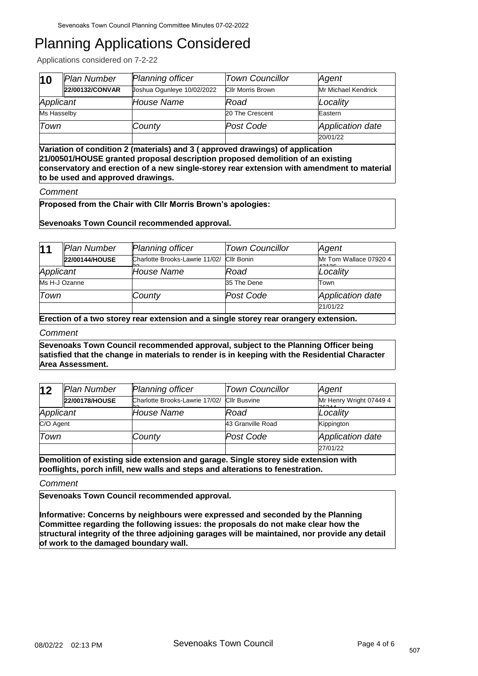Applications considered on 7-2-22

| $\vert$ 10                                                                                                                                                                                                                                                                                         | Plan Number     | Planning officer           | <b>Town Councillor</b>   | Agent               |
|----------------------------------------------------------------------------------------------------------------------------------------------------------------------------------------------------------------------------------------------------------------------------------------------------|-----------------|----------------------------|--------------------------|---------------------|
|                                                                                                                                                                                                                                                                                                    | 22/00132/CONVAR | Joshua Ogunleye 10/02/2022 | <b>Cllr Morris Brown</b> | Mr Michael Kendrick |
| Applicant                                                                                                                                                                                                                                                                                          |                 | House Name                 | Road                     | Locality            |
| Ms Hasselby                                                                                                                                                                                                                                                                                        |                 |                            | 20 The Crescent          | Eastern             |
| Town                                                                                                                                                                                                                                                                                               |                 | County                     | Post Code                | Application date    |
|                                                                                                                                                                                                                                                                                                    |                 |                            |                          | 20/01/22            |
| Variation of condition 2 (materials) and 3 (approved drawings) of application<br>21/00501/HOUSE granted proposal description proposed demolition of an existing<br>conservatory and erection of a new single-storey rear extension with amendment to material<br>to be used and approved drawings. |                 |                            |                          |                     |

### *Comment*

**Proposed from the Chair with Cllr Morris Brown's apologies:**

### **Sevenoaks Town Council recommended approval.**

| 11            | Plan Number    | <b>Planning officer</b>               | <b>Town Councillor</b> | Agent                           |
|---------------|----------------|---------------------------------------|------------------------|---------------------------------|
|               | 22/00144/HOUSE | Charlotte Brooks-Lawrie 11/02/<br>nn. | Cllr Bonin             | Mr Tom Wallace 07920 4<br>10100 |
| Applicant     |                | House Name                            | Road                   | Locality                        |
| Ms H-J Ozanne |                |                                       | 35 The Dene            | Town                            |
| Town          |                | County                                | Post Code              | Application date                |
|               |                |                                       |                        | 21/01/22                        |

**Erection of a two storey rear extension and a single storey rear orangery extension.**

### *Comment*

**Sevenoaks Town Council recommended approval, subject to the Planning Officer being satisfied that the change in materials to render is in keeping with the Residential Character Area Assessment.**

| 12        | Plan Number    | Planning officer                         | <b>Town Councillor</b> | Agent                                    |
|-----------|----------------|------------------------------------------|------------------------|------------------------------------------|
|           | 22/00178/HOUSE | Charlotte Brooks-Lawrie 17/02/<br>$\sim$ | <b>Cllr Busvine</b>    | Mr Henry Wright 07449 4<br>$\frac{1}{2}$ |
| Applicant |                | House Name                               | Road                   | Locality                                 |
| C/O Agent |                |                                          | 43 Granville Road      | Kippington                               |
| Town      |                | County                                   | Post Code              | Application date                         |
|           |                |                                          |                        | 27/01/22                                 |

**Demolition of existing side extension and garage. Single storey side extension with rooflights, porch infill, new walls and steps and alterations to fenestration.**

### *Comment*

**Sevenoaks Town Council recommended approval.**

**Informative: Concerns by neighbours were expressed and seconded by the Planning Committee regarding the following issues: the proposals do not make clear how the structural integrity of the three adjoining garages will be maintained, nor provide any detail of work to the damaged boundary wall.**

507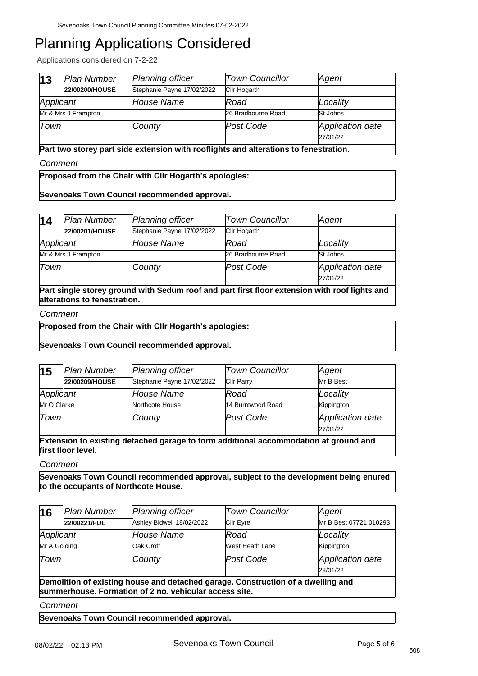Applications considered on 7-2-22

| 13                  | Plan Number    | <b>Planning officer</b>    | <b>Town Councillor</b> | Agent            |
|---------------------|----------------|----------------------------|------------------------|------------------|
|                     | 22/00200/HOUSE | Stephanie Payne 17/02/2022 | Cllr Hogarth           |                  |
| Applicant           |                | House Name                 | Road                   | Locality         |
| Mr & Mrs J Frampton |                |                            | 26 Bradbourne Road     | <b>St Johns</b>  |
| Town                |                | County                     | Post Code              | Application date |
|                     |                |                            |                        | 27/01/22         |

**Part two storey part side extension with rooflights and alterations to fenestration.**

*Comment*

**Proposed from the Chair with Cllr Hogarth's apologies:**

### **Sevenoaks Town Council recommended approval.**

| 14                  | Plan Number    | <b>Planning officer</b>    | <b>Town Councillor</b> | Agent            |
|---------------------|----------------|----------------------------|------------------------|------------------|
|                     | 22/00201/HOUSE | Stephanie Payne 17/02/2022 | Cllr Hogarth           |                  |
| Applicant           |                | House Name                 | Road                   | Locality         |
| Mr & Mrs J Frampton |                |                            | 26 Bradbourne Road     | <b>St Johns</b>  |
| Town                |                | County                     | Post Code              | Application date |
|                     |                |                            |                        | 27/01/22         |

**Part single storey ground with Sedum roof and part first floor extension with roof lights and alterations to fenestration.**

### *Comment*

**Proposed from the Chair with Cllr Hogarth's apologies:**

### **Sevenoaks Town Council recommended approval.**

| 15                                                                                   | Plan Number        | <b>Planning officer</b>    | <b>Town Councillor</b> | Agent            |  |
|--------------------------------------------------------------------------------------|--------------------|----------------------------|------------------------|------------------|--|
|                                                                                      | 22/00209/HOUSE     | Stephanie Payne 17/02/2022 | <b>Cllr Parry</b>      | Mr B Best        |  |
| Applicant                                                                            |                    | House Name                 | Road                   | Locality         |  |
| Mr O Clarke                                                                          |                    | Northcote House            | 14 Burntwood Road      | Kippington       |  |
| Town                                                                                 |                    | County                     | Post Code              | Application date |  |
|                                                                                      |                    |                            |                        | 27/01/22         |  |
| Extension to existing detached garage to form additional accommodation at ground and |                    |                            |                        |                  |  |
|                                                                                      | first floor level. |                            |                        |                  |  |

*Comment*

**Sevenoaks Town Council recommended approval, subject to the development being enured to the occupants of Northcote House.**

| 16                                                                                                                                         | Plan Number  | Planning officer          | <b>Town Councillor</b> | Agent                  |  |
|--------------------------------------------------------------------------------------------------------------------------------------------|--------------|---------------------------|------------------------|------------------------|--|
|                                                                                                                                            | 22/00221/FUL | Ashley Bidwell 18/02/2022 | <b>Cllr Eyre</b>       | Mr B Best 07721 010293 |  |
| Applicant                                                                                                                                  |              | House Name                | Road                   | Locality               |  |
| Mr A Golding                                                                                                                               |              | Oak Croft                 | <b>West Heath Lane</b> | Kippington             |  |
| Town                                                                                                                                       |              | County                    | Post Code              | Application date       |  |
|                                                                                                                                            |              |                           |                        | 28/01/22               |  |
| Demolition of existing house and detached garage. Construction of a dwelling and<br>summerhouse. Formation of 2 no. vehicular access site. |              |                           |                        |                        |  |

### *Comment*

**Sevenoaks Town Council recommended approval.**